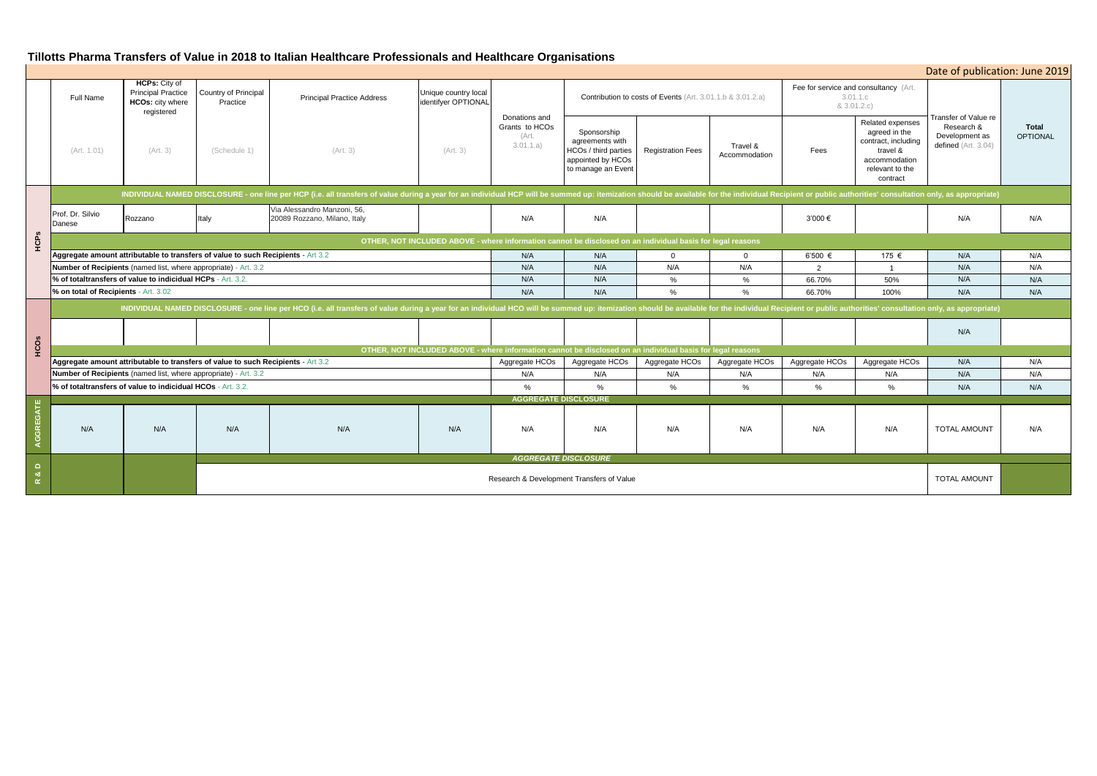# **Tillotts Pharma Transfers of Value in 2018 to Italian Healthcare Professionals and Healthcare Organisations**

|               | Date of publication: June 2019                                                                                                                                                                                                 |                                                                                            |                                  |                                                             |                                                                                                            |                                                                                                            |                                                                                                   |                          |                           |                                                                  |                                                                                                                      |                                                     |                                 |  |
|---------------|--------------------------------------------------------------------------------------------------------------------------------------------------------------------------------------------------------------------------------|--------------------------------------------------------------------------------------------|----------------------------------|-------------------------------------------------------------|------------------------------------------------------------------------------------------------------------|------------------------------------------------------------------------------------------------------------|---------------------------------------------------------------------------------------------------|--------------------------|---------------------------|------------------------------------------------------------------|----------------------------------------------------------------------------------------------------------------------|-----------------------------------------------------|---------------------------------|--|
|               | Full Name                                                                                                                                                                                                                      | <b>HCPs:</b> City of<br><b>Principal Practice</b><br><b>HCOs: city where</b><br>registered | Country of Principal<br>Practice | <b>Principal Practice Address</b>                           | Unique country local<br>identifyer OPTIONAL                                                                |                                                                                                            | <b>Contribution to costs of Events</b> (Art. 3.01.1.b & 3.01.2.a)                                 |                          |                           | Fee for service and consultancy (Art.<br>3.01.1.c<br>& 3.01.2.c) |                                                                                                                      | Transfer of Value re                                |                                 |  |
|               | (Art. 1.01)                                                                                                                                                                                                                    | (Art. 3)                                                                                   | (Schedule 1)                     | (Art. 3)                                                    | (Art. 3)                                                                                                   | Donations and<br>Grants to HCOs<br>(Art.<br>3.01.1.a)                                                      | Sponsorship<br>agreements with<br>HCOs / third parties<br>appointed by HCOs<br>to manage an Event | <b>Registration Fees</b> | Travel &<br>Accommodation | Fees                                                             | Related expenses<br>agreed in the<br>contract, including<br>travel &<br>accommodation<br>relevant to the<br>contract | Research &<br>Development as<br>defined (Art. 3.04) | <b>Total</b><br><b>OPTIONAL</b> |  |
| HCPs          | INDIVIDUAL NAMED DISCLOSURE - one line per HCP (i.e. all transfers of value during a year for an individual HCP will be summed up: itemization should be available for the individual Recipient or public authorities' consult |                                                                                            |                                  |                                                             |                                                                                                            |                                                                                                            |                                                                                                   |                          |                           |                                                                  |                                                                                                                      |                                                     |                                 |  |
|               | Prof. Dr. Silvio<br>Danese                                                                                                                                                                                                     | Rozzano                                                                                    | Italy                            | Via Alessandro Manzoni, 56,<br>20089 Rozzano, Milano, Italy |                                                                                                            | N/A                                                                                                        | N/A                                                                                               |                          |                           | 3'000 €                                                          |                                                                                                                      | N/A                                                 | N/A                             |  |
|               |                                                                                                                                                                                                                                |                                                                                            |                                  |                                                             | OTHER, NOT INCLUDED ABOVE - where information cannot be disclosed on an individual basis for legal reasons |                                                                                                            |                                                                                                   |                          |                           |                                                                  |                                                                                                                      |                                                     |                                 |  |
|               | Aggregate amount attributable to transfers of value to such Recipients - Art 3.2                                                                                                                                               |                                                                                            |                                  |                                                             |                                                                                                            | N/A                                                                                                        | N/A                                                                                               | $\overline{0}$           | $\Omega$                  | 6'500 €                                                          | 175 €                                                                                                                | N/A                                                 | N/A                             |  |
|               | Number of Recipients (named list, where appropriate) - Art. 3.2                                                                                                                                                                |                                                                                            |                                  |                                                             |                                                                                                            | N/A                                                                                                        | N/A                                                                                               | N/A                      | N/A                       | $\overline{2}$                                                   | $\overline{1}$                                                                                                       | N/A                                                 | N/A                             |  |
|               | % of totaltransfers of value to indicidual HCPs - Art. 3.2.                                                                                                                                                                    |                                                                                            |                                  |                                                             |                                                                                                            | N/A                                                                                                        | N/A                                                                                               | %                        | %                         | 66.70%                                                           | 50%                                                                                                                  | N/A                                                 | N/A                             |  |
|               | % on total of Recipients - Art. 3.02                                                                                                                                                                                           |                                                                                            |                                  |                                                             |                                                                                                            | N/A                                                                                                        | N/A                                                                                               | $\%$                     | $\%$                      | 66.70%                                                           | 100%                                                                                                                 | N/A                                                 | N/A                             |  |
| HCOS          | INDIVIDUAL NAMED DISCLOSURE - one line per HCO (i.e. all transfers of value during a year for an individual HCO will be summed up: itemization should be available for the individual Recipient or public authorities' consult |                                                                                            |                                  |                                                             |                                                                                                            |                                                                                                            |                                                                                                   |                          |                           |                                                                  |                                                                                                                      |                                                     |                                 |  |
|               |                                                                                                                                                                                                                                |                                                                                            |                                  |                                                             |                                                                                                            |                                                                                                            |                                                                                                   |                          |                           |                                                                  |                                                                                                                      | N/A                                                 |                                 |  |
|               |                                                                                                                                                                                                                                |                                                                                            |                                  |                                                             |                                                                                                            | OTHER, NOT INCLUDED ABOVE - where information cannot be disclosed on an individual basis for legal reasons |                                                                                                   |                          |                           |                                                                  |                                                                                                                      |                                                     |                                 |  |
|               | Aggregate amount attributable to transfers of value to such Recipients - Art 3.2                                                                                                                                               |                                                                                            |                                  |                                                             |                                                                                                            | Aggregate HCOs                                                                                             | Aggregate HCOs                                                                                    | Aggregate HCOs           | Aggregate HCOs            | Aggregate HCOs                                                   | Aggregate HCOs                                                                                                       | N/A                                                 | N/A                             |  |
|               | Number of Recipients (named list, where appropriate) - Art. 3.2                                                                                                                                                                |                                                                                            |                                  |                                                             |                                                                                                            | N/A                                                                                                        | N/A                                                                                               | N/A                      | N/A                       | N/A                                                              | N/A                                                                                                                  | N/A                                                 | N/A                             |  |
|               | % of totaltransfers of value to indicidual HCOs - Art. 3.2.                                                                                                                                                                    |                                                                                            |                                  |                                                             |                                                                                                            | %                                                                                                          | %                                                                                                 | %                        | $\%$                      | $\%$                                                             | $\%$                                                                                                                 | N/A                                                 | N/A                             |  |
| GGREGATE      |                                                                                                                                                                                                                                |                                                                                            |                                  |                                                             |                                                                                                            |                                                                                                            | <b>AGGREGATE DISCLOSURE</b>                                                                       |                          |                           |                                                                  |                                                                                                                      |                                                     |                                 |  |
|               | N/A                                                                                                                                                                                                                            | N/A                                                                                        | N/A                              | N/A                                                         | N/A                                                                                                        | N/A                                                                                                        | N/A                                                                                               | N/A                      | N/A                       | N/A                                                              | N/A                                                                                                                  | <b>TOTAL AMOUNT</b>                                 | N/A                             |  |
| $\Box$        |                                                                                                                                                                                                                                |                                                                                            | <b>AGGREGATE DISCLOSURE</b>      |                                                             |                                                                                                            |                                                                                                            |                                                                                                   |                          |                           |                                                                  |                                                                                                                      |                                                     |                                 |  |
| ೲ<br>$\simeq$ |                                                                                                                                                                                                                                | Research & Development Transfers of Value                                                  |                                  |                                                             |                                                                                                            |                                                                                                            |                                                                                                   |                          |                           |                                                                  |                                                                                                                      | <b>TOTAL AMOUNT</b>                                 |                                 |  |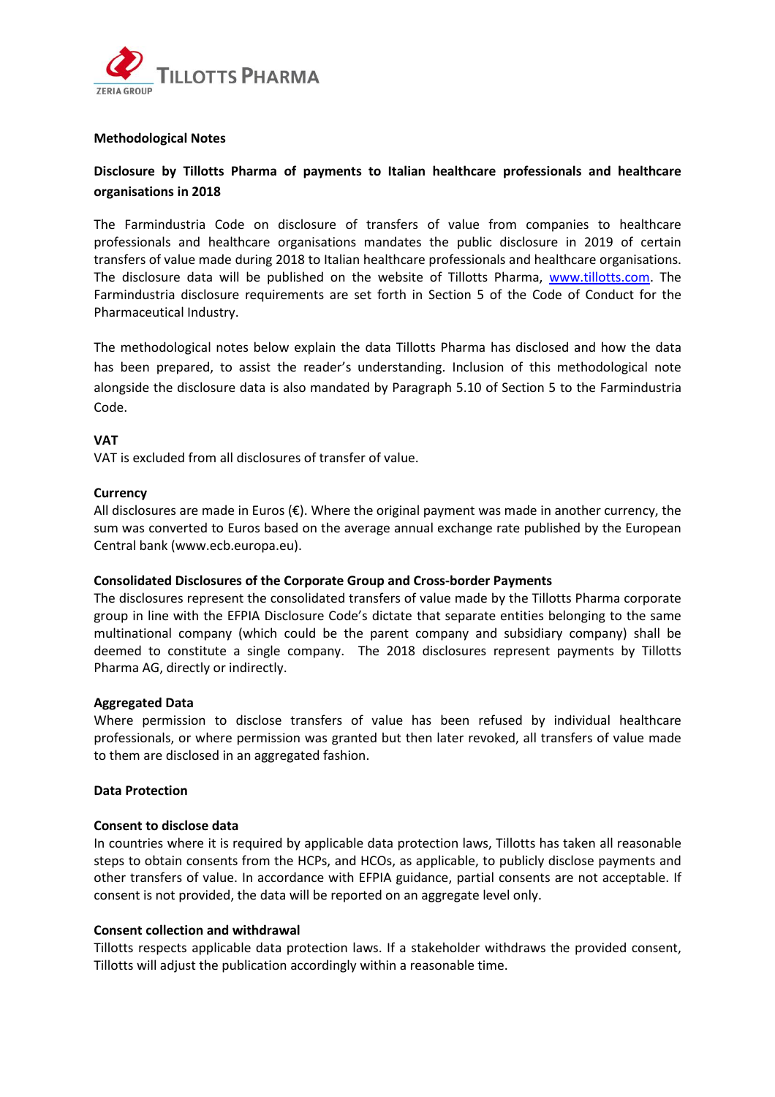

## **Methodological Notes**

# **Disclosure by Tillotts Pharma of payments to Italian healthcare professionals and healthcare organisations in 2018**

The Farmindustria Code on disclosure of transfers of value from companies to healthcare professionals and healthcare organisations mandates the public disclosure in 2019 of certain transfers of value made during 2018 to Italian healthcare professionals and healthcare organisations. The disclosure data will be published on the website of Tillotts Pharma, [www.tillotts.com.](http://www.tillotts.com/) The Farmindustria disclosure requirements are set forth in Section 5 of the Code of Conduct for the Pharmaceutical Industry.

The methodological notes below explain the data Tillotts Pharma has disclosed and how the data has been prepared, to assist the reader's understanding. Inclusion of this methodological note alongside the disclosure data is also mandated by Paragraph 5.10 of Section 5 to the Farmindustria Code.

## **VAT**

VAT is excluded from all disclosures of transfer of value.

## **Currency**

All disclosures are made in Euros  $(\epsilon)$ . Where the original payment was made in another currency, the sum was converted to Euros based on the average annual exchange rate published by the European Central bank (www.ecb.europa.eu).

#### **Consolidated Disclosures of the Corporate Group and Cross-border Payments**

The disclosures represent the consolidated transfers of value made by the Tillotts Pharma corporate group in line with the EFPIA Disclosure Code's dictate that separate entities belonging to the same multinational company (which could be the parent company and subsidiary company) shall be deemed to constitute a single company. The 2018 disclosures represent payments by Tillotts Pharma AG, directly or indirectly.

#### **Aggregated Data**

Where permission to disclose transfers of value has been refused by individual healthcare professionals, or where permission was granted but then later revoked, all transfers of value made to them are disclosed in an aggregated fashion.

## **Data Protection**

#### **Consent to disclose data**

In countries where it is required by applicable data protection laws, Tillotts has taken all reasonable steps to obtain consents from the HCPs, and HCOs, as applicable, to publicly disclose payments and other transfers of value. In accordance with EFPIA guidance, partial consents are not acceptable. If consent is not provided, the data will be reported on an aggregate level only.

#### **Consent collection and withdrawal**

Tillotts respects applicable data protection laws. If a stakeholder withdraws the provided consent, Tillotts will adjust the publication accordingly within a reasonable time.